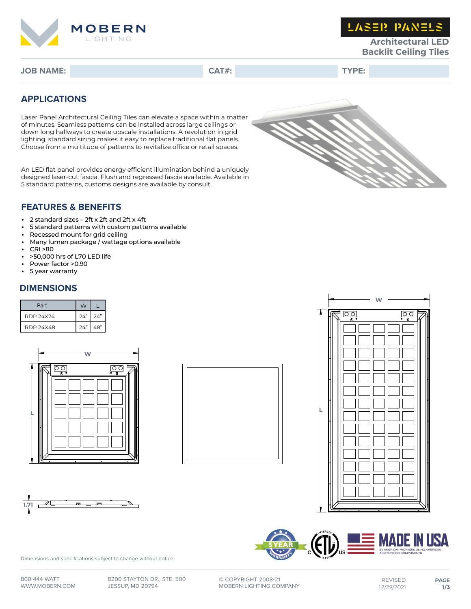

**LASER PANELS** 

**Architectural LED Backlit Ceiling Tiles**

**JOB NAME: CAT#: TYPE:**

## **APPLICATIONS**

Laser Panel Architectural Ceiling Tiles can elevate a space within a matter of minutes. Seamless patterns can be installed across large ceilings or down long hallways to create upscale installations. A revolution in grid lighting, standard sizing makes it easy to replace traditional flat panels. Choose from a multitude of patterns to revitalize office or retail spaces.

An LED flat panel provides energy efficient illumination behind a uniquely designed laser-cut fascia. Flush and regressed fascia available. Available in 5 standard patterns, customs designs are available by consult.



## **FEATURES & BENEFITS**

- 2 standard sizes 2ft x 2ft and 2ft x 4ft
- 5 standard patterns with custom patterns available<br>• Recessed mount for grid ceiling
- Recessed mount for grid ceiling<br>• Many lumen package / wattage
- Many lumen package / wattage options available
- CRI >80
- >50,000 hrs of L70 LED life
- Power factor >0.90
- 5 year warranty

## **DIMENSIONS**

| Part      | W           |     |  |
|-----------|-------------|-----|--|
| RDP 24X24 | $74"$ $74"$ |     |  |
| RDP 24X48 | 24"         | 48" |  |











Dimensions and specifications subject to change without notice.

**©** COPYRIGHT 2008-21 MOBERN LIGHTING COMPANY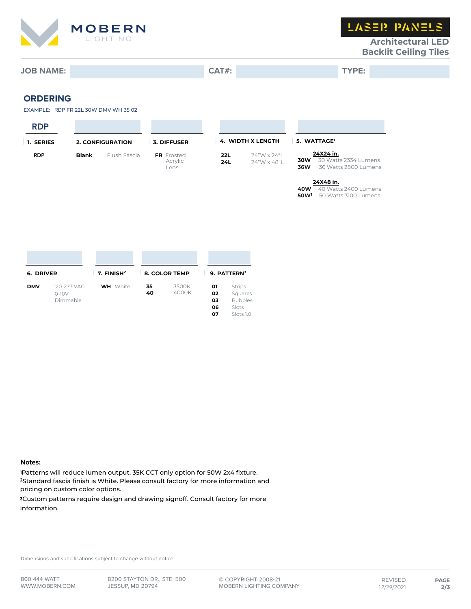

LASER PANELS

**Architectural LED Backlit Ceiling Tiles**

# **JOB NAME: CAT#: TYPE:**

**ORDERING**

EXAMPLE: RDP FR 22L 30W DMV WH 35 02

| <b>RDP</b> |              |                         |                                      |            |                            |                         |                                                           |
|------------|--------------|-------------------------|--------------------------------------|------------|----------------------------|-------------------------|-----------------------------------------------------------|
| 1. SERIES  |              | <b>2. CONFIGURATION</b> | 3. DIFFUSER                          |            | <b>4. WIDTH X LENGTH</b>   |                         | 5. WATTAGE <sup>1</sup>                                   |
| <b>RDP</b> | <b>Blank</b> | Flush Fascia            | <b>FR</b> Frosted<br>Acrylic<br>Lens | 22L<br>24L | 24"W x 24"L<br>24"W x 48"L | 30W<br>36W              | 24X24 in.<br>30 Watts 2334 Lumens<br>36 Watts 2800 Lumens |
|            |              |                         |                                      |            |                            | 40W<br>50W <sup>1</sup> | 24X48 in.<br>40 Watts 2400 Lumens<br>50 Watts 3100 Lumens |

| 6. DRIVER  |                        | 7. $FINISH2$    | <b>8. COLOR TEMP</b> |                | 9. PATTERN3    |                                      |
|------------|------------------------|-----------------|----------------------|----------------|----------------|--------------------------------------|
| <b>DMV</b> | 120-277 VAC<br>$0-10V$ | <b>WH</b> White | 35<br>40             | 3500K<br>4000K | 01<br>02       | <b>Strips</b><br>Squares             |
|            | Dimmable               |                 |                      |                | 03<br>06<br>07 | <b>Bubbles</b><br>Slots<br>Slots 1.0 |

#### **Notes:**

<sup>1</sup>Patterns will reduce lumen output. 35K CCT only option for 50W 2x4 fixture. <sup>2</sup>Standard fascia finish is White. Please consult factory for more information and pricing on custom color options.

<sup>3</sup>Custom patterns require design and drawing signoff. Consult factory for more information.

Dimensions and specifications subject to change without notice.